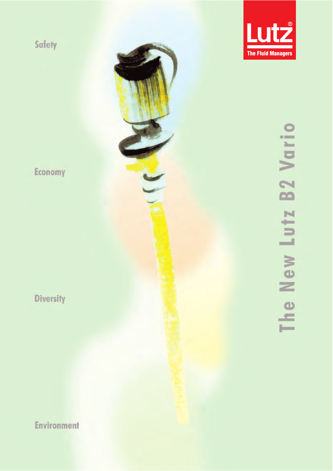



# I'll Va **B2**  $\blacksquare$ Lut. he New  $\overline{a}$

Economy

Diversity

**Environment**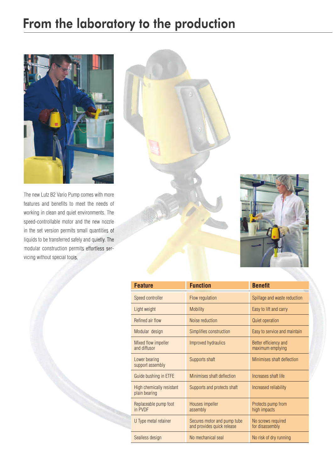### From the laboratory to the production



The new Lutz B2 Vario Pump comes with more features and benefits to meet the needs of working in clean and quiet environments. The speed-controllable motor and the new nozzle in the set version permits small quantities of liquids to be transferred safely and quietly. The modular construction permits effortless servicing without special tools.





| <b>Feature</b>                             | <b>Function</b>                                           | <b>Benefit</b>                            |
|--------------------------------------------|-----------------------------------------------------------|-------------------------------------------|
| Speed controller                           | Flow regulation                                           | Spillage and waste reduction              |
| Light weight                               | <b>Mobility</b>                                           | Easy to lift and carry                    |
| Refined air flow                           | Noise reduction                                           | <b>Quiet operation</b>                    |
| Modular design                             | Simplifies construction                                   | Easy to service and maintain              |
| Mixed flow impeller<br>and diffusor        | Improved hydraulics                                       | Better efficiency and<br>maximum emptying |
| Lower bearing<br>support assembly          | Supports shaft                                            | Minimises shaft deflection                |
| Guide bushing in ETFE                      | Minimises shaft deflection                                | Increases shaft life                      |
| High chemically resistant<br>plain bearing | Supports and protects shaft                               | Increased reliability                     |
| Replaceable pump foot<br>in PVDF           | Houses impeller<br>assembly                               | Protects pump from<br>high impacts        |
| U Type metal retainer                      | Secures motor and pump tube<br>and provides quick release | No screws required<br>for disassembly     |
| Sealless design                            | No mechanical seal                                        | No risk of dry running                    |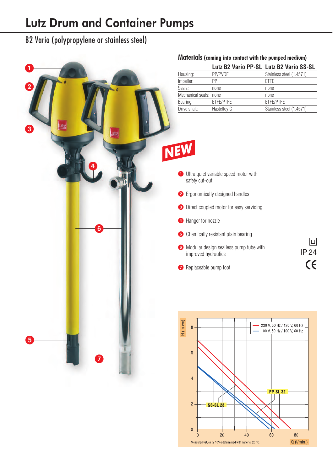### Lutz Drum and Container Pumps

B2 Vario (polypropylene or stainless steel)



**SS-SL 28** 

 $20$ 

Measured values ( $\pm$  10%) determined with water at 20 °C.

40

60

80

 $Q$  ( $l/min$ .)

 $\mathbf{0}$ 

 $\Omega$ 

#### **Materials (coming into contact with the pumped medium)**

| Housing:               | PP/PVDF     | Stainless steel (1.4571) |
|------------------------|-------------|--------------------------|
| Impeller:              | PP          | <b>ETFE</b>              |
| Seals:                 | none        | none                     |
| Mechanical seals: none |             | none                     |
| Bearing:               | ETFE/PTFE   | ETFE/PTFE                |
| Drive shaft:           | Hastelloy C | Stainless steel (1.4571) |
|                        |             |                          |
|                        |             |                          |
|                        |             |                          |
|                        |             |                          |

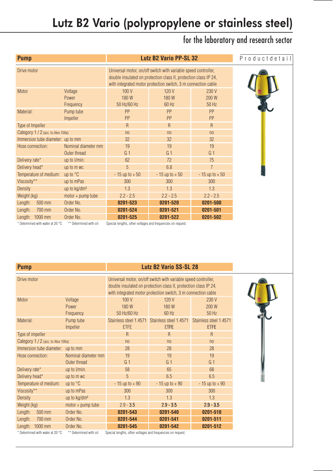### Lutz B2 Vario (polypropylene or stainless steel)

### for the laboratory and research sector

| <b>Pump</b>                        |                               | <b>Lutz B2 Vario PP-SL 32</b>                                                                                                                                                                       |                       |                         | Productdetail |
|------------------------------------|-------------------------------|-----------------------------------------------------------------------------------------------------------------------------------------------------------------------------------------------------|-----------------------|-------------------------|---------------|
| Drive motor                        |                               | Universal motor, on/off switch with variable speed controller,<br>double insulated on protection class II, protection class IP 24,<br>with integrated motor protection switch, 3 m connection cable |                       |                         |               |
| <b>Motor</b>                       | Voltage<br>Power<br>Frequency | 100V<br>180W<br>50 Hz/60 Hz                                                                                                                                                                         | 120V<br>180W<br>60 Hz | 230 V<br>200 W<br>50 Hz |               |
| Material:                          | Pump tube<br>Impeller         | <b>PP</b><br>PP                                                                                                                                                                                     | PP<br>PP              | <b>PP</b><br>PP         |               |
| Type of Impeller                   |                               | R                                                                                                                                                                                                   | $\mathsf{R}$          | $\mathsf{R}$            |               |
| Category 1 / 2 (acc. to Atex 100a) |                               | n <sub>0</sub>                                                                                                                                                                                      | n <sub>0</sub>        | n <sub>0</sub>          |               |
| Immersion tube diameter: up to mm  |                               | 32                                                                                                                                                                                                  | 32                    | 32                      |               |
| Hose connection:                   | Nominal diameter mm           | 19                                                                                                                                                                                                  | 19                    | 19                      |               |
|                                    | Outer thread                  | G <sub>1</sub>                                                                                                                                                                                      | G <sub>1</sub>        | G <sub>1</sub>          |               |
| Delivery rate*                     | up to I/min.                  | 62                                                                                                                                                                                                  | 72                    | 75                      |               |
| Delivery head*                     | up to m wc                    | 5                                                                                                                                                                                                   | 6.8                   | $\overline{7}$          |               |
| Temperature of medium:             | up to $\degree$ C             | $-15$ up to $+50$                                                                                                                                                                                   | $-15$ up to $+50$     | $-15$ up to $+50$       |               |
| Viscosity**                        | up to mPas                    | 300                                                                                                                                                                                                 | 300                   | 300                     |               |
| <b>Density</b>                     | up to kg/dm <sup>3</sup>      | 1.3                                                                                                                                                                                                 | 1.3                   | 1.3                     |               |
| Weight (kg)                        | $motor + pump$ tube           | $2.2 - 2.5$                                                                                                                                                                                         | $2.2 - 2.5$           | $2.2 - 2.5$             |               |
| 500 mm<br>Length:                  | Order No.                     | 0201-523                                                                                                                                                                                            | 0201-520              | 0201-500                |               |
| Length:<br>700 mm                  | Order No.                     | 0201-524                                                                                                                                                                                            | 0201-521              | 0201-501                |               |
| Length: 1000 mm                    | Order No.                     | 0201-525                                                                                                                                                                                            | 0201-522              | 0201-502                |               |
| * Determined with water at 20 °C   | ** Determined with oil        | Special lengths, other voltages and frequencies on request.                                                                                                                                         |                       |                         |               |

| <b>Pump</b>                        |                                     |                                                                                                                                                                                                     | <b>Lutz B2 Vario SS-SL 28</b>                                |                                       |  |
|------------------------------------|-------------------------------------|-----------------------------------------------------------------------------------------------------------------------------------------------------------------------------------------------------|--------------------------------------------------------------|---------------------------------------|--|
| Drive motor                        |                                     | Universal motor, on/off switch with variable speed controller,<br>double insulated on protection class II, protection class IP 24,<br>with integrated motor protection switch, 3 m connection cable |                                                              |                                       |  |
| <b>Motor</b>                       | Voltage<br>Power<br>Frequency       | 100 V<br>180W<br>50 Hz/60 Hz                                                                                                                                                                        | 120 V<br>180 W<br>$60$ Hz                                    | 230 V<br>200 W<br>50 Hz               |  |
| Material:                          | Pump tube<br>Impeller               | <b>ETFE</b>                                                                                                                                                                                         | Stainless steel 1.4571 Stainless steel 1.4571<br><b>ETFE</b> | Stainless steel 1.4571<br><b>ETFE</b> |  |
| Type of impeller                   |                                     | R                                                                                                                                                                                                   | R                                                            | $\mathsf{R}$                          |  |
| Category 1 / 2 (acc. to Atex 100a) |                                     | n <sub>0</sub>                                                                                                                                                                                      | n <sub>0</sub>                                               | n <sub>0</sub>                        |  |
| Immersion tube diameter: up to mm  |                                     | 28                                                                                                                                                                                                  | 28                                                           | 28                                    |  |
| Hose connection:                   | Nominal diameter mm<br>Outer thread | 19<br>G <sub>1</sub>                                                                                                                                                                                | 19<br>G <sub>1</sub>                                         | 19<br>G <sub>1</sub>                  |  |
| Delivery rate*                     | up to I/min.                        | 58                                                                                                                                                                                                  | 65                                                           | 68                                    |  |
| Delivery head*                     | up to m wc                          | 5                                                                                                                                                                                                   | 6.5                                                          | 6.5                                   |  |
| Temperature of medium:             | up to $\degree$ C                   | $-15$ up to $+90$                                                                                                                                                                                   | $-15$ up to $+90$                                            | $-15$ up to $+90$                     |  |
| Viscosity**                        | up to mPas                          | 300                                                                                                                                                                                                 | 300                                                          | 300                                   |  |
| <b>Density</b>                     | up to kg/dm <sup>3</sup>            | 1.3                                                                                                                                                                                                 | 1.3                                                          | 1.3                                   |  |
| Weight (kg)                        | $motor + pump$ tube                 | $2.9 - 3.5$                                                                                                                                                                                         | $2.9 - 3.5$                                                  | $2.9 - 3.5$                           |  |
| 500 mm<br>Length:                  | Order No.                           | 0201-543                                                                                                                                                                                            | 0201-540                                                     | 0201-510                              |  |
| 700 mm<br>Length:                  | Order No.                           | 0201-544                                                                                                                                                                                            | 0201-541                                                     | 0201-511                              |  |
| Length: 1000 mm                    | Order No.                           | 0201-545                                                                                                                                                                                            | 0201-542                                                     | 0201-512                              |  |

\* Determined with water at 20 °C \*\* Determined with oil Special lengths, other voltages and frequencies on request.

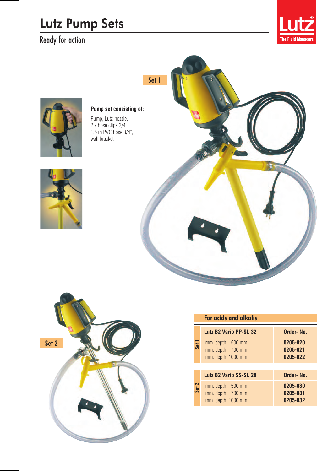## Lutz Pump Sets

Ready for action





### **Pump set consisting of:**

Pump, Lutz-nozzle, 2 x hose clips 3/4", 1.5 m PVC hose 3/4", wall bracket







### **For acids and alkalis**

| Set <sub>1</sub> | Lutz B2 Vario PP-SL 32                                          | Order-No.                        |  |
|------------------|-----------------------------------------------------------------|----------------------------------|--|
|                  | Imm. depth: 500 mm<br>Imm. depth: 700 mm<br>Imm. depth: 1000 mm | 0205-020<br>0205-021<br>0205-022 |  |
|                  |                                                                 |                                  |  |
| Set 2            | Lutz B2 Vario SS-SL 28                                          | Order-No.                        |  |
|                  | Imm. depth: 500 mm<br>Imm. depth: 700 mm<br>Imm. depth: 1000 mm | 0205-030<br>0205-031<br>0205-032 |  |